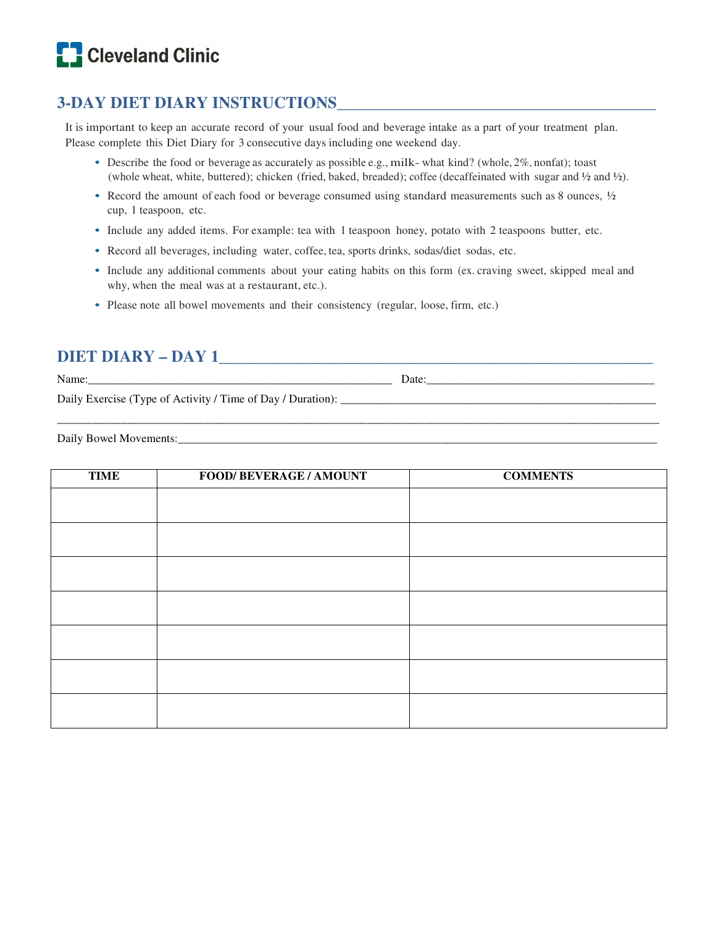# **C** Cleveland Clinic

### **3-DAY DIET DIARY INSTRUCTIONS\_\_\_\_\_\_\_\_\_\_\_\_\_\_\_\_\_\_\_\_\_\_\_\_\_\_\_\_\_\_\_\_\_\_\_\_\_\_\_**

It is important to keep an accurate record of your usual food and beverage intake as a part of your treatment plan. Please complete this Diet Diary for 3 consecutive days including one weekend day.

- Describe the food or beverage as accurately as possible e.g., milk- what kind? (whole, 2%, nonfat); toast (whole wheat, white, buttered); chicken (fried, baked, breaded); coffee (decaffeinated with sugar and ½ and ½).
- Record the amount of each food or beverage consumed using standard measurements such as 8 ounces,  $\frac{1}{2}$ cup, 1 teaspoon, etc.
- Include any added items. For example: tea with 1 teaspoon honey, potato with 2 teaspoons butter, etc.
- Record all beverages, including water, coffee, tea, sports drinks, sodas/diet sodas, etc.
- Include any additional comments about your eating habits on this form (ex. craving sweet, skipped meal and why, when the meal was at a restaurant, etc.).

\_\_\_\_\_\_\_\_\_\_\_\_\_\_\_\_\_\_\_\_\_\_\_\_\_\_\_\_\_\_\_\_\_\_\_\_\_\_\_\_\_\_\_\_\_\_\_\_\_\_\_\_\_\_\_\_\_\_\_\_\_\_\_\_\_\_\_\_\_\_\_\_\_\_\_\_\_\_\_\_\_\_\_\_\_\_\_\_\_\_\_\_\_\_\_\_\_\_\_\_\_\_\_

• Please note all bowel movements and their consistency (regular, loose, firm, etc.)

### **DIET DIARY – DAY 1\_\_\_\_\_\_\_\_\_\_\_\_\_\_\_\_\_\_\_\_\_\_\_\_\_\_\_\_\_\_\_\_\_\_\_\_\_\_\_\_\_\_\_\_\_\_\_\_\_\_\_\_\_**

Name:  $\Box$ 

Daily Exercise (Type of Activity / Time of Day / Duration): \_\_\_\_\_\_\_\_\_\_\_\_\_\_\_\_\_\_\_\_\_\_\_\_\_\_\_\_\_\_\_\_\_\_\_\_\_\_\_\_\_\_\_\_\_\_\_\_\_\_\_\_\_\_

Daily Bowel Movements:\_\_\_\_\_\_\_\_\_\_\_\_\_\_\_\_\_\_\_\_\_\_\_\_\_\_\_\_\_\_\_\_\_\_\_\_\_\_\_\_\_\_\_\_\_\_\_\_\_\_\_\_\_\_\_\_\_\_\_\_\_\_\_\_\_\_\_\_\_\_\_\_\_\_\_\_\_\_\_\_\_\_

| <b>TIME</b> | <b>FOOD/ BEVERAGE / AMOUNT</b> | <b>COMMENTS</b> |
|-------------|--------------------------------|-----------------|
|             |                                |                 |
|             |                                |                 |
|             |                                |                 |
|             |                                |                 |
|             |                                |                 |
|             |                                |                 |
|             |                                |                 |